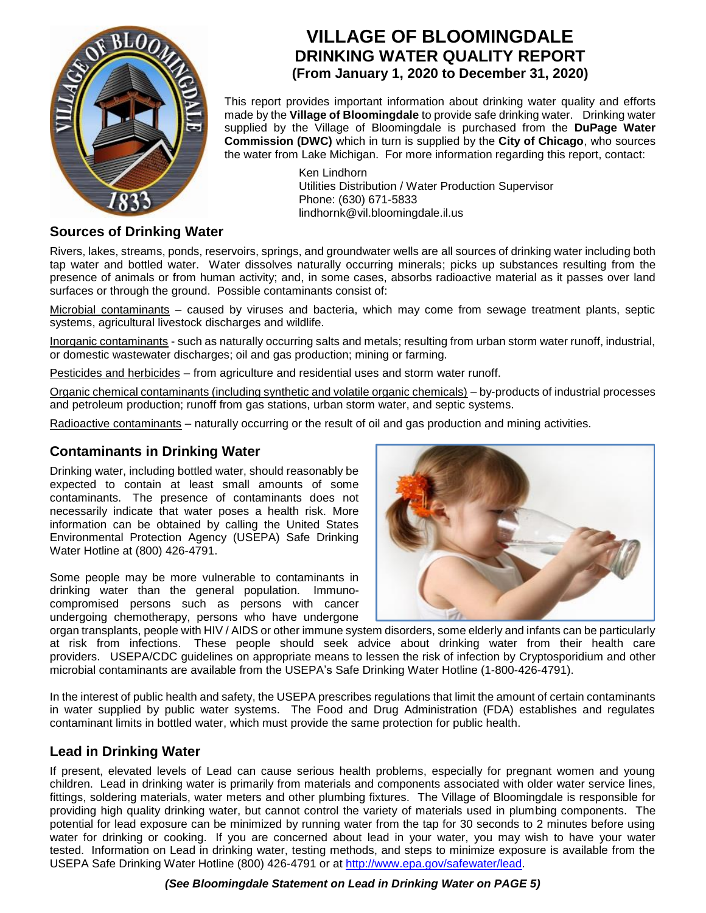

# **VILLAGE OF BLOOMINGDALE DRINKING WATER QUALITY REPORT (From January 1, 2020 to December 31, 2020)**

This report provides important information about drinking water quality and efforts made by the **Village of Bloomingdale** to provide safe drinking water. Drinking water supplied by the Village of Bloomingdale is purchased from the **DuPage Water Commission (DWC)** which in turn is supplied by the **City of Chicago**, who sources the water from Lake Michigan. For more information regarding this report, contact:

> Ken Lindhorn Utilities Distribution / Water Production Supervisor Phone: (630) 671-5833 lindhornk@vil.bloomingdale.il.us

# **Sources of Drinking Water**

Rivers, lakes, streams, ponds, reservoirs, springs, and groundwater wells are all sources of drinking water including both tap water and bottled water. Water dissolves naturally occurring minerals; picks up substances resulting from the presence of animals or from human activity; and, in some cases, absorbs radioactive material as it passes over land surfaces or through the ground. Possible contaminants consist of:

Microbial contaminants – caused by viruses and bacteria, which may come from sewage treatment plants, septic systems, agricultural livestock discharges and wildlife.

Inorganic contaminants - such as naturally occurring salts and metals; resulting from urban storm water runoff, industrial, or domestic wastewater discharges; oil and gas production; mining or farming.

Pesticides and herbicides – from agriculture and residential uses and storm water runoff.

Organic chemical contaminants (including synthetic and volatile organic chemicals) – by-products of industrial processes and petroleum production; runoff from gas stations, urban storm water, and septic systems.

Radioactive contaminants – naturally occurring or the result of oil and gas production and mining activities.

# **Contaminants in Drinking Water**

Drinking water, including bottled water, should reasonably be expected to contain at least small amounts of some contaminants. The presence of contaminants does not necessarily indicate that water poses a health risk. More information can be obtained by calling the United States Environmental Protection Agency (USEPA) Safe Drinking Water Hotline at (800) 426-4791.

Some people may be more vulnerable to contaminants in drinking water than the general population. Immunocompromised persons such as persons with cancer undergoing chemotherapy, persons who have undergone



organ transplants, people with HIV / AIDS or other immune system disorders, some elderly and infants can be particularly at risk from infections. These people should seek advice about drinking water from their health care providers. USEPA/CDC guidelines on appropriate means to lessen the risk of infection by Cryptosporidium and other microbial contaminants are available from the USEPA's Safe Drinking Water Hotline (1-800-426-4791).

In the interest of public health and safety, the USEPA prescribes regulations that limit the amount of certain contaminants in water supplied by public water systems. The Food and Drug Administration (FDA) establishes and regulates contaminant limits in bottled water, which must provide the same protection for public health.

# **Lead in Drinking Water**

If present, elevated levels of Lead can cause serious health problems, especially for pregnant women and young children. Lead in drinking water is primarily from materials and components associated with older water service lines, fittings, soldering materials, water meters and other plumbing fixtures. The Village of Bloomingdale is responsible for providing high quality drinking water, but cannot control the variety of materials used in plumbing components. The potential for lead exposure can be minimized by running water from the tap for 30 seconds to 2 minutes before using water for drinking or cooking. If you are concerned about lead in your water, you may wish to have your water tested. Information on Lead in drinking water, testing methods, and steps to minimize exposure is available from the USEPA Safe Drinking Water Hotline (800) 426-4791 or at [http://www.epa.gov/safewater/lead.](http://www.epa.gov/safewater/lead)

*(See Bloomingdale Statement on Lead in Drinking Water on PAGE 5)*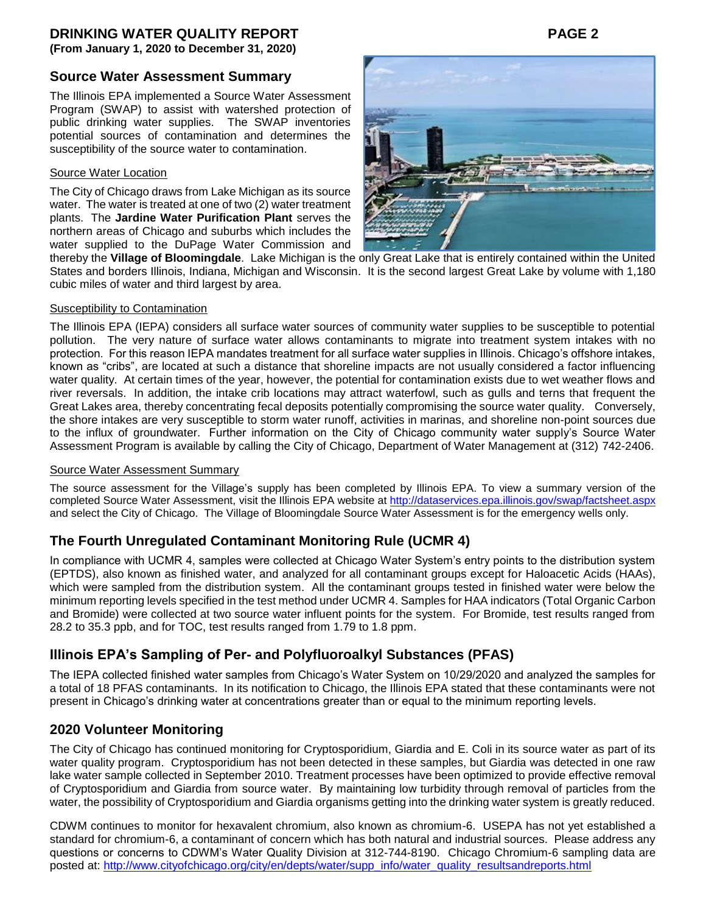**(From January 1, 2020 to December 31, 2020)**

## **Source Water Assessment Summary**

The Illinois EPA implemented a Source Water Assessment Program (SWAP) to assist with watershed protection of public drinking water supplies. The SWAP inventories potential sources of contamination and determines the susceptibility of the source water to contamination.

## Source Water Location

The City of Chicago draws from Lake Michigan as its source water. The water is treated at one of two (2) water treatment plants. The **Jardine Water Purification Plant** serves the northern areas of Chicago and suburbs which includes the water supplied to the DuPage Water Commission and



thereby the **Village of Bloomingdale**. Lake Michigan is the only Great Lake that is entirely contained within the United States and borders Illinois, Indiana, Michigan and Wisconsin. It is the second largest Great Lake by volume with 1,180 cubic miles of water and third largest by area.

### **Susceptibility to Contamination**

The Illinois EPA (IEPA) considers all surface water sources of community water supplies to be susceptible to potential pollution. The very nature of surface water allows contaminants to migrate into treatment system intakes with no protection. For this reason IEPA mandates treatment for all surface water supplies in Illinois. Chicago's offshore intakes, known as "cribs", are located at such a distance that shoreline impacts are not usually considered a factor influencing water quality. At certain times of the year, however, the potential for contamination exists due to wet weather flows and river reversals. In addition, the intake crib locations may attract waterfowl, such as gulls and terns that frequent the Great Lakes area, thereby concentrating fecal deposits potentially compromising the source water quality. Conversely, the shore intakes are very susceptible to storm water runoff, activities in marinas, and shoreline non-point sources due to the influx of groundwater. Further information on the City of Chicago community water supply's Source Water Assessment Program is available by calling the City of Chicago, Department of Water Management at (312) 742-2406.

## Source Water Assessment Summary

The source assessment for the Village's supply has been completed by Illinois EPA. To view a summary version of the completed Source Water Assessment, visit the Illinois EPA website at<http://dataservices.epa.illinois.gov/swap/factsheet.aspx> and select the City of Chicago. The Village of Bloomingdale Source Water Assessment is for the emergency wells only.

# **The Fourth Unregulated Contaminant Monitoring Rule (UCMR 4)**

In compliance with UCMR 4, samples were collected at Chicago Water System's entry points to the distribution system (EPTDS), also known as finished water, and analyzed for all contaminant groups except for Haloacetic Acids (HAAs), which were sampled from the distribution system. All the contaminant groups tested in finished water were below the minimum reporting levels specified in the test method under UCMR 4. Samples for HAA indicators (Total Organic Carbon and Bromide) were collected at two source water influent points for the system. For Bromide, test results ranged from 28.2 to 35.3 ppb, and for TOC, test results ranged from 1.79 to 1.8 ppm.

# **Illinois EPA's Sampling of Per- and Polyfluoroalkyl Substances (PFAS)**

The IEPA collected finished water samples from Chicago's Water System on 10/29/2020 and analyzed the samples for a total of 18 PFAS contaminants. In its notification to Chicago, the Illinois EPA stated that these contaminants were not present in Chicago's drinking water at concentrations greater than or equal to the minimum reporting levels.

# **2020 Volunteer Monitoring**

The City of Chicago has continued monitoring for Cryptosporidium, Giardia and E. Coli in its source water as part of its water quality program. Cryptosporidium has not been detected in these samples, but Giardia was detected in one raw lake water sample collected in September 2010. Treatment processes have been optimized to provide effective removal of Cryptosporidium and Giardia from source water. By maintaining low turbidity through removal of particles from the water, the possibility of Cryptosporidium and Giardia organisms getting into the drinking water system is greatly reduced.

CDWM continues to monitor for hexavalent chromium, also known as chromium-6. USEPA has not yet established a standard for chromium-6, a contaminant of concern which has both natural and industrial sources. Please address any questions or concerns to CDWM's Water Quality Division at 312-744-8190. Chicago Chromium-6 sampling data are posted at: [http://www.cityofchicago.org/city/en/depts/water/supp\\_info/water\\_quality\\_resultsandreports.html](http://www.cityofchicago.org/city/en/depts/water/supp_info/water_quality_resultsandreports.html)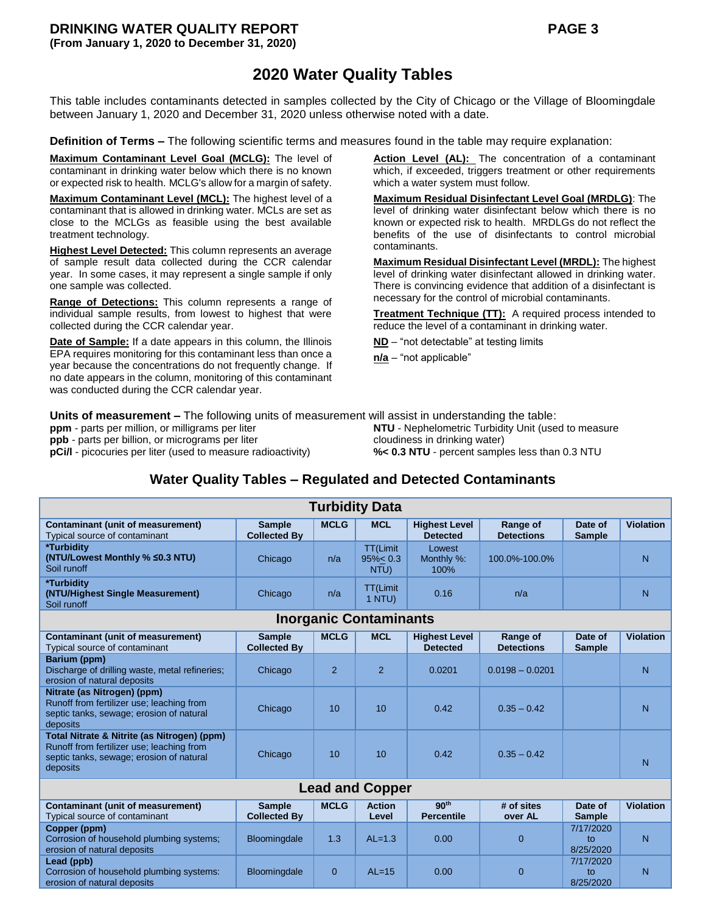# **2020 Water Quality Tables**

This table includes contaminants detected in samples collected by the City of Chicago or the Village of Bloomingdale between January 1, 2020 and December 31, 2020 unless otherwise noted with a date.

**Definition of Terms –** The following scientific terms and measures found in the table may require explanation:

**Maximum Contaminant Level Goal (MCLG):** The level of contaminant in drinking water below which there is no known or expected risk to health. MCLG's allow for a margin of safety.

**Maximum Contaminant Level (MCL):** The highest level of a contaminant that is allowed in drinking water. MCLs are set as close to the MCLGs as feasible using the best available treatment technology.

**Highest Level Detected:** This column represents an average of sample result data collected during the CCR calendar year. In some cases, it may represent a single sample if only one sample was collected.

**Range of Detections:** This column represents a range of individual sample results, from lowest to highest that were collected during the CCR calendar year.

**Date of Sample:** If a date appears in this column, the Illinois EPA requires monitoring for this contaminant less than once a year because the concentrations do not frequently change. If no date appears in the column, monitoring of this contaminant was conducted during the CCR calendar year.

Action Level (AL): The concentration of a contaminant which, if exceeded, triggers treatment or other requirements which a water system must follow.

**Maximum Residual Disinfectant Level Goal (MRDLG)**: The level of drinking water disinfectant below which there is no known or expected risk to health. MRDLGs do not reflect the benefits of the use of disinfectants to control microbial contaminants.

**Maximum Residual Disinfectant Level (MRDL):** The highest level of drinking water disinfectant allowed in drinking water. There is convincing evidence that addition of a disinfectant is necessary for the control of microbial contaminants.

**Treatment Technique (TT):** A required process intended to reduce the level of a contaminant in drinking water.

**ND** – "not detectable" at testing limits

**n/a** – "not applicable"

**Units of measurement –** The following units of measurement will assist in understanding the table:

**ppm** - parts per million, or milligrams per liter **ppb** - parts per billion, or micrograms per liter

**pCi/l** - picocuries per liter (used to measure radioactivity)

**NTU** - Nephelometric Turbidity Unit (used to measure cloudiness in drinking water) **%< 0.3 NTU** - percent samples less than 0.3 NTU

# **Water Quality Tables – Regulated and Detected Contaminants**

| <b>Turbidity Data</b>                                                                                                                            |                                      |                |                                  |                                         |                                      |                              |                  |  |  |  |  |
|--------------------------------------------------------------------------------------------------------------------------------------------------|--------------------------------------|----------------|----------------------------------|-----------------------------------------|--------------------------------------|------------------------------|------------------|--|--|--|--|
| <b>Contaminant (unit of measurement)</b><br>Typical source of contaminant                                                                        | <b>Sample</b><br><b>Collected By</b> | <b>MCLG</b>    | <b>MCL</b>                       | <b>Highest Level</b><br><b>Detected</b> | <b>Range of</b><br><b>Detections</b> | Date of<br><b>Sample</b>     | <b>Violation</b> |  |  |  |  |
| *Turbidity<br>(NTU/Lowest Monthly % ≤0.3 NTU)<br>Soil runoff                                                                                     | Chicago                              | n/a            | TT(Limit<br>$95\% < 0.3$<br>NTU) | Lowest<br>Monthly %:<br>100%            | 100.0%-100.0%                        |                              | N                |  |  |  |  |
| *Turbidity<br>(NTU/Highest Single Measurement)<br>Soil runoff                                                                                    | Chicago                              | n/a            | <b>TT(Limit</b><br>1 NTU         | 0.16                                    | n/a                                  |                              | N                |  |  |  |  |
| <b>Inorganic Contaminants</b>                                                                                                                    |                                      |                |                                  |                                         |                                      |                              |                  |  |  |  |  |
| <b>Contaminant (unit of measurement)</b><br>Typical source of contaminant                                                                        | <b>Sample</b><br><b>Collected By</b> | <b>MCLG</b>    | <b>MCL</b>                       | <b>Highest Level</b><br><b>Detected</b> | Range of<br><b>Detections</b>        | Date of<br><b>Sample</b>     | <b>Violation</b> |  |  |  |  |
| Barium (ppm)<br>Discharge of drilling waste, metal refineries;<br>erosion of natural deposits                                                    | Chicago                              | $\overline{2}$ | $\overline{2}$                   | 0.0201                                  | $0.0198 - 0.0201$                    |                              | N                |  |  |  |  |
| Nitrate (as Nitrogen) (ppm)<br>Runoff from fertilizer use; leaching from<br>septic tanks, sewage; erosion of natural<br>deposits                 | Chicago                              | 10             | 10                               | 0.42                                    | $0.35 - 0.42$                        |                              | N                |  |  |  |  |
| Total Nitrate & Nitrite (as Nitrogen) (ppm)<br>Runoff from fertilizer use; leaching from<br>septic tanks, sewage; erosion of natural<br>deposits | Chicago                              | 10             | 10                               | 0.42                                    | $0.35 - 0.42$                        |                              | N                |  |  |  |  |
| <b>Lead and Copper</b>                                                                                                                           |                                      |                |                                  |                                         |                                      |                              |                  |  |  |  |  |
| <b>Contaminant (unit of measurement)</b><br>Typical source of contaminant                                                                        | <b>Sample</b><br><b>Collected By</b> | <b>MCLG</b>    | <b>Action</b><br>Level           | 90 <sup>th</sup><br><b>Percentile</b>   | # of sites<br>over AL                | Date of<br><b>Sample</b>     | <b>Violation</b> |  |  |  |  |
| Copper (ppm)<br>Corrosion of household plumbing systems;<br>erosion of natural deposits                                                          | Bloomingdale                         | 1.3            | $AI = 1.3$                       | 0.00                                    | $\Omega$                             | 7/17/2020<br>to<br>8/25/2020 | N                |  |  |  |  |
| Lead (ppb)<br>Corrosion of household plumbing systems:<br>erosion of natural deposits                                                            | Bloomingdale                         | $\overline{0}$ | $AL=15$                          | 0.00                                    | $\Omega$                             | 7/17/2020<br>to<br>8/25/2020 | N                |  |  |  |  |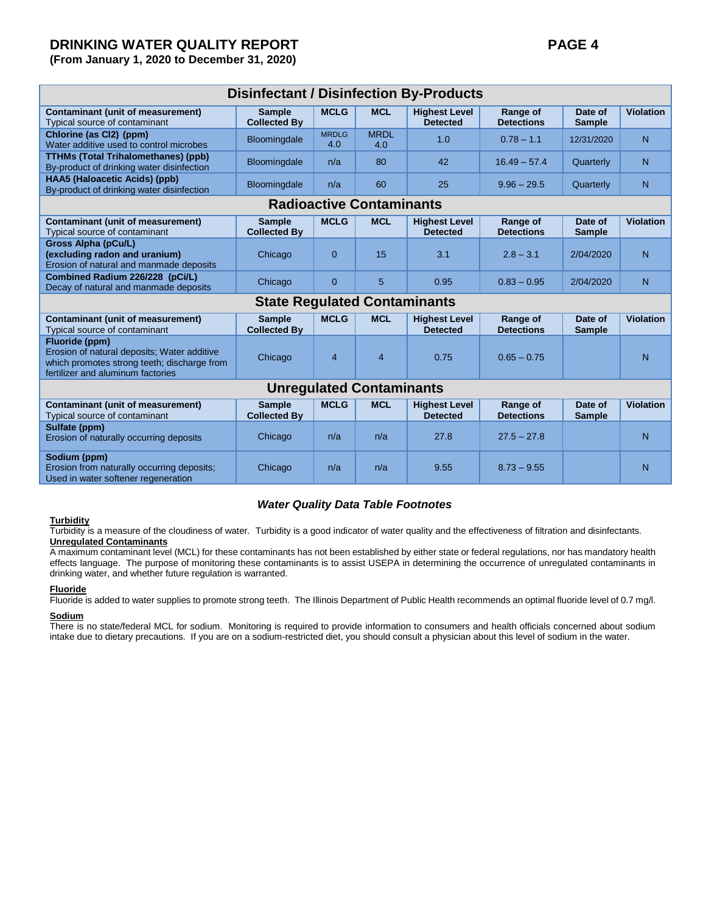| <b>Disinfectant / Disinfection By-Products</b>                                                                                                    |                                      |                     |                    |                                         |                                      |                          |                  |  |  |  |  |
|---------------------------------------------------------------------------------------------------------------------------------------------------|--------------------------------------|---------------------|--------------------|-----------------------------------------|--------------------------------------|--------------------------|------------------|--|--|--|--|
| <b>Contaminant (unit of measurement)</b><br>Typical source of contaminant                                                                         | <b>Sample</b><br><b>Collected By</b> | <b>MCLG</b>         | <b>MCL</b>         | <b>Highest Level</b><br><b>Detected</b> | Range of<br><b>Detections</b>        | Date of<br><b>Sample</b> | <b>Violation</b> |  |  |  |  |
| Chlorine (as Cl2) (ppm)<br>Water additive used to control microbes                                                                                | <b>Bloomingdale</b>                  | <b>MRDLG</b><br>4.0 | <b>MRDL</b><br>4.0 | 1.0                                     | $0.78 - 1.1$                         | 12/31/2020               | N                |  |  |  |  |
| <b>TTHMs (Total Trihalomethanes) (ppb)</b><br>By-product of drinking water disinfection                                                           | Bloomingdale                         | n/a                 | 80                 | 42                                      | $16.49 - 57.4$                       | Quarterly                | N                |  |  |  |  |
| HAA5 (Haloacetic Acids) (ppb)<br>By-product of drinking water disinfection                                                                        | Bloomingdale                         | n/a                 | 60                 | 25                                      | $9.96 - 29.5$                        | Quarterly                | N                |  |  |  |  |
| <b>Radioactive Contaminants</b>                                                                                                                   |                                      |                     |                    |                                         |                                      |                          |                  |  |  |  |  |
| <b>Contaminant (unit of measurement)</b><br>Typical source of contaminant                                                                         | <b>Sample</b><br><b>Collected By</b> | <b>MCLG</b>         | <b>MCL</b>         | <b>Highest Level</b><br><b>Detected</b> | <b>Range of</b><br><b>Detections</b> | Date of<br><b>Sample</b> | <b>Violation</b> |  |  |  |  |
| Gross Alpha (pCu/L)<br>(excluding radon and uranium)<br>Erosion of natural and manmade deposits                                                   | Chicago                              | $\overline{0}$      | 15                 | 3.1                                     | $2.8 - 3.1$                          | 2/04/2020                | N                |  |  |  |  |
| Combined Radium 226/228 (pCi/L)<br>Decay of natural and manmade deposits                                                                          | Chicago                              | $\overline{0}$      | 5                  | 0.95                                    | $0.83 - 0.95$                        | 2/04/2020                | N                |  |  |  |  |
| <b>State Regulated Contaminants</b>                                                                                                               |                                      |                     |                    |                                         |                                      |                          |                  |  |  |  |  |
| <b>Contaminant (unit of measurement)</b><br>Typical source of contaminant                                                                         | <b>Sample</b><br><b>Collected By</b> | <b>MCLG</b>         | <b>MCL</b>         | <b>Highest Level</b><br><b>Detected</b> | Range of<br><b>Detections</b>        | Date of<br><b>Sample</b> | <b>Violation</b> |  |  |  |  |
| Fluoride (ppm)<br>Erosion of natural deposits; Water additive<br>which promotes strong teeth; discharge from<br>fertilizer and aluminum factories | Chicago                              | $\overline{4}$      | $\overline{4}$     | 0.75                                    | $0.65 - 0.75$                        |                          | N                |  |  |  |  |
| <b>Unregulated Contaminants</b>                                                                                                                   |                                      |                     |                    |                                         |                                      |                          |                  |  |  |  |  |
| <b>Contaminant (unit of measurement)</b><br>Typical source of contaminant                                                                         | <b>Sample</b><br><b>Collected By</b> | <b>MCLG</b>         | <b>MCL</b>         | <b>Highest Level</b><br><b>Detected</b> | Range of<br><b>Detections</b>        | Date of<br><b>Sample</b> | <b>Violation</b> |  |  |  |  |
| Sulfate (ppm)<br>Erosion of naturally occurring deposits                                                                                          | Chicago                              | n/a                 | n/a                | 27.8                                    | $27.5 - 27.8$                        |                          | $\overline{N}$   |  |  |  |  |
| Sodium (ppm)<br>Erosion from naturally occurring deposits;<br>Used in water softener regeneration                                                 | Chicago                              | n/a                 | n/a                | 9.55                                    | $8.73 - 9.55$                        |                          | N                |  |  |  |  |

#### *Water Quality Data Table Footnotes*

## **Turbidity**

Turbidity is a measure of the cloudiness of water. Turbidity is a good indicator of water quality and the effectiveness of filtration and disinfectants. **Unregulated Contaminants**

A maximum contaminant level (MCL) for these contaminants has not been established by either state or federal regulations, nor has mandatory health effects language. The purpose of monitoring these contaminants is to assist USEPA in determining the occurrence of unregulated contaminants in drinking water, and whether future regulation is warranted.

#### **Fluoride**

Fluoride is added to water supplies to promote strong teeth. The Illinois Department of Public Health recommends an optimal fluoride level of 0.7 mg/l.

#### **Sodium**

There is no state/federal MCL for sodium. Monitoring is required to provide information to consumers and health officials concerned about sodium intake due to dietary precautions. If you are on a sodium-restricted diet, you should consult a physician about this level of sodium in the water.